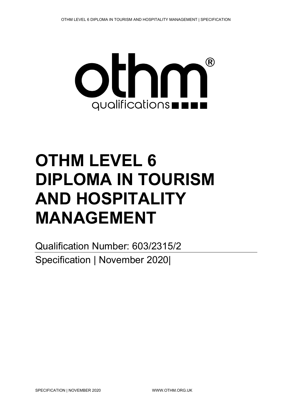

# **OTHM LEVEL 6 DIPLOMA IN TOURISM AND HOSPITALITY MANAGEMENT**

Qualification Number: 603/2315/2 Specification | November 2020|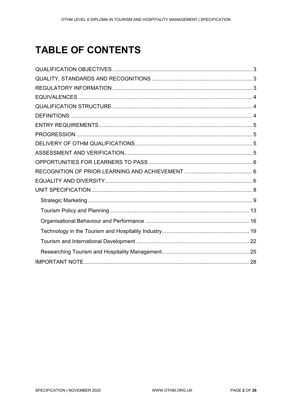# **TABLE OF CONTENTS**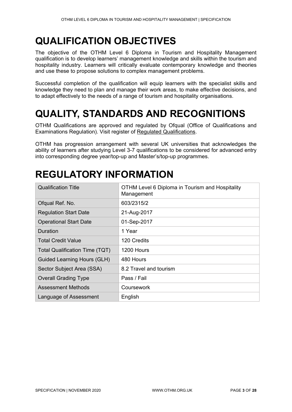# <span id="page-2-0"></span>**QUALIFICATION OBJECTIVES**

The objective of the OTHM Level 6 Diploma in Tourism and Hospitality Management qualification is to develop learners' management knowledge and skills within the tourism and hospitality industry. Learners will critically evaluate contemporary knowledge and theories and use these to propose solutions to complex management problems.

Successful completion of the qualification will equip learners with the specialist skills and knowledge they need to plan and manage their work areas, to make effective decisions, and to adapt effectively to the needs of a range of tourism and hospitality organisations.

# <span id="page-2-1"></span>**QUALITY, STANDARDS AND RECOGNITIONS**

OTHM Qualifications are approved and regulated by Ofqual (Office of Qualifications and Examinations Regulation). Visit register of [Regulated Qualifications.](http://register.ofqual.gov.uk/)

OTHM has progression arrangement with several UK universities that acknowledges the ability of learners after studying Level 3-7 qualifications to be considered for advanced entry into corresponding degree year/top-up and Master's/top-up programmes.

# <span id="page-2-2"></span>**REGULATORY INFORMATION**

| <b>Qualification Title</b>            | OTHM Level 6 Diploma in Tourism and Hospitality<br>Management |
|---------------------------------------|---------------------------------------------------------------|
| Ofqual Ref. No.                       | 603/2315/2                                                    |
| <b>Regulation Start Date</b>          | 21-Aug-2017                                                   |
| <b>Operational Start Date</b>         | 01-Sep-2017                                                   |
| Duration                              | 1 Year                                                        |
| <b>Total Credit Value</b>             | 120 Credits                                                   |
| <b>Total Qualification Time (TQT)</b> | 1200 Hours                                                    |
| <b>Guided Learning Hours (GLH)</b>    | 480 Hours                                                     |
| Sector Subject Area (SSA)             | 8.2 Travel and tourism                                        |
| <b>Overall Grading Type</b>           | Pass / Fail                                                   |
| Assessment Methods                    | Coursework                                                    |
| Language of Assessment                | English                                                       |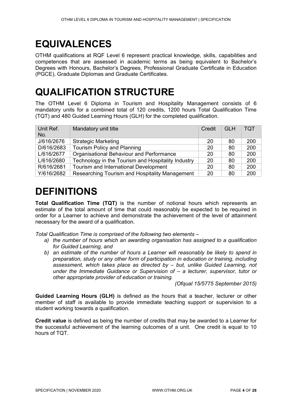# <span id="page-3-0"></span>**EQUIVALENCES**

OTHM qualifications at RQF Level 6 represent practical knowledge, skills, capabilities and competences that are assessed in academic terms as being equivalent to Bachelor's Degrees with Honours, Bachelor's Degrees, Professional Graduate Certificate in Education (PGCE), Graduate Diplomas and Graduate Certificates.

# <span id="page-3-1"></span>**QUALIFICATION STRUCTURE**

The OTHM Level 6 Diploma in Tourism and Hospitality Management consists of 6 mandatory units for a combined total of 120 credits, 1200 hours Total Qualification Time (TQT) and 480 Guided Learning Hours (GLH) for the completed qualification.

| Unit Ref.<br>No. | Mandatory unit title                               | Credit | <b>GLH</b> | <b>TQT</b> |
|------------------|----------------------------------------------------|--------|------------|------------|
| J/616/2676       | <b>Strategic Marketing</b>                         | 20     | 80         | 200        |
| D/616/2683       | Tourism Policy and Planning                        | 20     | 80         | 200        |
| L/616/2677       | Organisational Behaviour and Performance           | 20     | 80         | 200        |
| L/616/2680       | Technology in the Tourism and Hospitality Industry | 20     | 80         | 200        |
| R/616/2681       | Tourism and International Development              | 20     | 80         | 200        |
| Y/616/2682       | Researching Tourism and Hospitality Management     | 20     | 80         | 200        |

# <span id="page-3-2"></span>**DEFINITIONS**

**Total Qualification Time (TQT)** is the number of notional hours which represents an estimate of the total amount of time that could reasonably be expected to be required in order for a Learner to achieve and demonstrate the achievement of the level of attainment necessary for the award of a qualification.

*Total Qualification Time is comprised of the following two elements –*

- *a) the number of hours which an awarding organisation has assigned to a qualification for Guided Learning, and*
- *b) an estimate of the number of hours a Learner will reasonably be likely to spend in preparation, study or any other form of participation in education or training, including assessment, which takes place as directed by – but, unlike Guided Learning, not under the Immediate Guidance or Supervision of – a lecturer, supervisor, tutor or other appropriate provider of education or training.*

*(Ofqual 15/5775 September 2015)*

**Guided Learning Hours (GLH)** is defined as the hours that a teacher, lecturer or other member of staff is available to provide immediate teaching support or supervision to a student working towards a qualification.

**Credit value** is defined as being the number of credits that may be awarded to a Learner for the successful achievement of the learning outcomes of a unit. One credit is equal to 10 hours of TQT.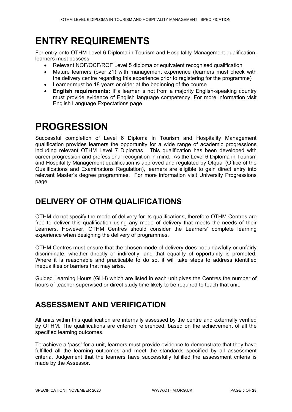# <span id="page-4-0"></span>**ENTRY REQUIREMENTS**

For entry onto OTHM Level 6 Diploma in Tourism and Hospitality Management qualification, learners must possess:

- Relevant NQF/QCF/RQF Level 5 diploma or equivalent recognised qualification
- Mature learners (over 21) with management experience (learners must check with the delivery centre regarding this experience prior to registering for the programme)
- Learner must be 18 years or older at the beginning of the course
- **English requirements:** If a learner is not from a majority English-speaking country must provide evidence of English language competency. For more information visit [English Language Expectations](http://othm.org.uk/english-language.html) page.

# <span id="page-4-1"></span>**PROGRESSION**

Successful completion of Level 6 Diploma in Tourism and Hospitality Management qualification provides learners the opportunity for a wide range of academic progressions including relevant OTHM Level 7 Diplomas. This qualification has been developed with career progression and professional recognition in mind. As the Level 6 Diploma in Tourism and Hospitality Management qualification is approved and regulated by Ofqual (Office of the Qualifications and Examinations Regulation), learners are eligible to gain direct entry into relevant Master's degree programmes. For more information visit [University Progressions](http://othm.org.uk/university-progression.html) page.

# <span id="page-4-2"></span>**DELIVERY OF OTHM QUALIFICATIONS**

OTHM do not specify the mode of delivery for its qualifications, therefore OTHM Centres are free to deliver this qualification using any mode of delivery that meets the needs of their Learners. However, OTHM Centres should consider the Learners' complete learning experience when designing the delivery of programmes.

OTHM Centres must ensure that the chosen mode of delivery does not unlawfully or unfairly discriminate, whether directly or indirectly, and that equality of opportunity is promoted. Where it is reasonable and practicable to do so, it will take steps to address identified inequalities or barriers that may arise.

Guided Learning Hours (GLH) which are listed in each unit gives the Centres the number of hours of teacher-supervised or direct study time likely to be required to teach that unit.

# <span id="page-4-3"></span>**ASSESSMENT AND VERIFICATION**

All units within this qualification are internally assessed by the centre and externally verified by OTHM. The qualifications are criterion referenced, based on the achievement of all the specified learning outcomes.

To achieve a 'pass' for a unit, learners must provide evidence to demonstrate that they have fulfilled all the learning outcomes and meet the standards specified by all assessment criteria. Judgement that the learners have successfully fulfilled the assessment criteria is made by the Assessor.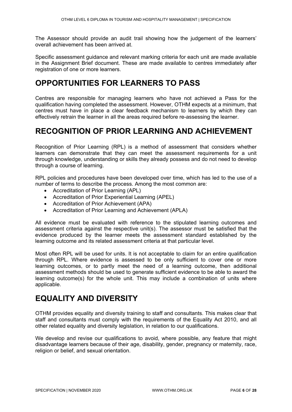The Assessor should provide an audit trail showing how the judgement of the learners' overall achievement has been arrived at.

Specific assessment guidance and relevant marking criteria for each unit are made available in the Assignment Brief document. These are made available to centres immediately after registration of one or more learners.

## <span id="page-5-0"></span>**OPPORTUNITIES FOR LEARNERS TO PASS**

Centres are responsible for managing learners who have not achieved a Pass for the qualification having completed the assessment. However, OTHM expects at a minimum, that centres must have in place a clear feedback mechanism to learners by which they can effectively retrain the learner in all the areas required before re-assessing the learner.

# <span id="page-5-1"></span>**RECOGNITION OF PRIOR LEARNING AND ACHIEVEMENT**

Recognition of Prior Learning (RPL) is a method of assessment that considers whether learners can demonstrate that they can meet the assessment requirements for a unit through knowledge, understanding or skills they already possess and do not need to develop through a course of learning.

RPL policies and procedures have been developed over time, which has led to the use of a number of terms to describe the process. Among the most common are:

- Accreditation of Prior Learning (APL)
- Accreditation of Prior Experiential Learning (APEL)
- Accreditation of Prior Achievement (APA)
- Accreditation of Prior Learning and Achievement (APLA)

All evidence must be evaluated with reference to the stipulated learning outcomes and assessment criteria against the respective unit(s). The assessor must be satisfied that the evidence produced by the learner meets the assessment standard established by the learning outcome and its related assessment criteria at that particular level.

Most often RPL will be used for units. It is not acceptable to claim for an entire qualification through RPL. Where evidence is assessed to be only sufficient to cover one or more learning outcomes, or to partly meet the need of a learning outcome, then additional assessment methods should be used to generate sufficient evidence to be able to award the learning outcome(s) for the whole unit. This may include a combination of units where applicable.

### <span id="page-5-2"></span>**EQUALITY AND DIVERSITY**

OTHM provides equality and diversity training to staff and consultants. This makes clear that staff and consultants must comply with the requirements of the Equality Act 2010, and all other related equality and diversity legislation, in relation to our qualifications.

We develop and revise our qualifications to avoid, where possible, any feature that might disadvantage learners because of their age, disability, gender, pregnancy or maternity, race, religion or belief, and sexual orientation.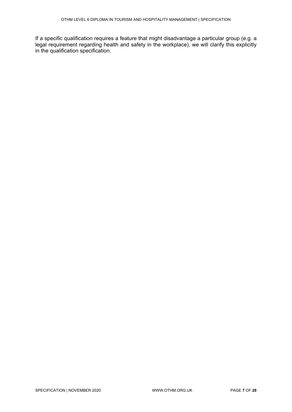If a specific qualification requires a feature that might disadvantage a particular group (e.g. a legal requirement regarding health and safety in the workplace), we will clarify this explicitly in the qualification specification.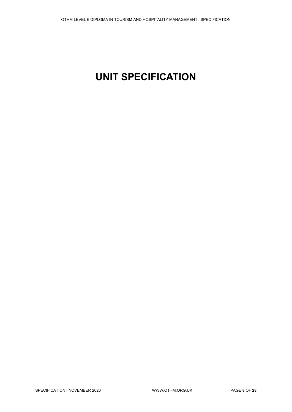# <span id="page-7-0"></span>**UNIT SPECIFICATION**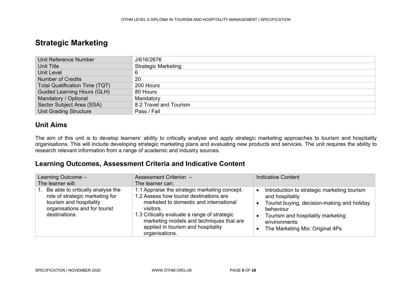### **Strategic Marketing**

| Unit Reference Number                 | J/616/2676                 |
|---------------------------------------|----------------------------|
| Unit Title                            | <b>Strategic Marketing</b> |
| Unit Level                            | 6                          |
| <b>Number of Credits</b>              | 20                         |
| <b>Total Qualification Time (TQT)</b> | 200 Hours                  |
| <b>Guided Learning Hours (GLH)</b>    | 80 Hours                   |
| Mandatory / Optional                  | Mandatory                  |
| Sector Subject Area (SSA)             | 8.2 Travel and Tourism     |
| <b>Unit Grading Structure</b>         | Pass / Fail                |

#### **Unit Aims**

The aim of this unit is to develop learners' ability to critically analyse and apply strategic marketing approaches to tourism and hospitality organisations. This will include developing strategic marketing plans and evaluating new products and services. The unit requires the ability to research relevant information from a range of academic and industry sources.

<span id="page-8-0"></span>

| Learning Outcome -                                                                                                                                   | Assessment Criterion -                                                                                                                                                                                                                                                                              | <b>Indicative Content</b>                                                                                                                                                                                          |
|------------------------------------------------------------------------------------------------------------------------------------------------------|-----------------------------------------------------------------------------------------------------------------------------------------------------------------------------------------------------------------------------------------------------------------------------------------------------|--------------------------------------------------------------------------------------------------------------------------------------------------------------------------------------------------------------------|
| The learner will:                                                                                                                                    | The learner can:                                                                                                                                                                                                                                                                                    |                                                                                                                                                                                                                    |
| 1. Be able to critically analyse the<br>role of strategic marketing for<br>tourism and hospitality<br>organisations and for tourist<br>destinations. | 1.1 Appraise the strategic marketing concept.<br>1.2 Assess how tourist destinations are<br>marketed to domestic and international<br>visitors.<br>1.3 Critically evaluate a range of strategic<br>marketing models and techniques that are<br>applied in tourism and hospitality<br>organisations. | Introduction to strategic marketing tourism<br>and hospitality<br>Tourist buying, decision-making and holiday<br>behaviour<br>Tourism and hospitality marketing<br>environments<br>The Marketing Mix: Original 4Ps |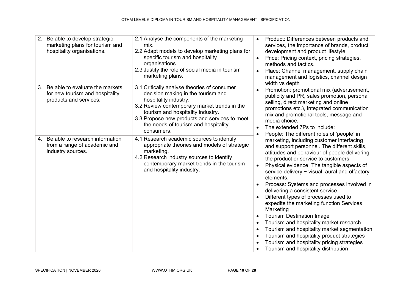| 2. | Be able to develop strategic<br>marketing plans for tourism and<br>hospitality organisations. | 2.1 Analyse the components of the marketing<br>mix.<br>2.2 Adapt models to develop marketing plans for<br>specific tourism and hospitality<br>organisations.<br>2.3 Justify the role of social media in tourism<br>marketing plans.                                                                    | $\bullet$<br>$\bullet$ | Product: Differences between products and<br>services, the importance of brands, product<br>development and product lifestyle.<br>Price: Pricing context, pricing strategies,<br>methods and tactics.<br>Place: Channel management, supply chain<br>management and logistics, channel design<br>width vs depth                                                                                                                                                                                                                                                                                                                                                                                                                                      |
|----|-----------------------------------------------------------------------------------------------|--------------------------------------------------------------------------------------------------------------------------------------------------------------------------------------------------------------------------------------------------------------------------------------------------------|------------------------|-----------------------------------------------------------------------------------------------------------------------------------------------------------------------------------------------------------------------------------------------------------------------------------------------------------------------------------------------------------------------------------------------------------------------------------------------------------------------------------------------------------------------------------------------------------------------------------------------------------------------------------------------------------------------------------------------------------------------------------------------------|
| 3. | Be able to evaluate the markets<br>for new tourism and hospitality<br>products and services.  | 3.1 Critically analyse theories of consumer<br>decision making in the tourism and<br>hospitality industry.<br>3.2 Review contemporary market trends in the<br>tourism and hospitality industry.<br>3.3 Propose new products and services to meet<br>the needs of tourism and hospitality<br>consumers. |                        | Promotion: promotional mix (advertisement,<br>publicity and PR, sales promotion, personal<br>selling, direct marketing and online<br>promotions etc.), Integrated communication<br>mix and promotional tools, message and<br>media choice.<br>The extended 7Ps to include:<br>People: The different roles of 'people' in                                                                                                                                                                                                                                                                                                                                                                                                                            |
|    | 4. Be able to research information<br>from a range of academic and<br>industry sources.       | 4.1 Research academic sources to identify<br>appropriate theories and models of strategic<br>marketing.<br>4.2 Research industry sources to identify<br>contemporary market trends in the tourism<br>and hospitality industry.                                                                         |                        | marketing, including customer interfacing<br>and support personnel. The different skills,<br>attitudes and behaviour of people delivering<br>the product or service to customers.<br>Physical evidence: The tangible aspects of<br>service delivery - visual, aural and olfactory<br>elements.<br>Process: Systems and processes involved in<br>delivering a consistent service.<br>Different types of processes used to<br>expedite the marketing function Services<br>Marketing<br><b>Tourism Destination Image</b><br>Tourism and hospitality market research<br>Tourism and hospitality market segmentation<br>Tourism and hospitality product strategies<br>Tourism and hospitality pricing strategies<br>Tourism and hospitality distribution |

SPECIFICATION | NOVEMBER 2020 WWW.OTHM.ORG.UK PAGE **10** OF **28**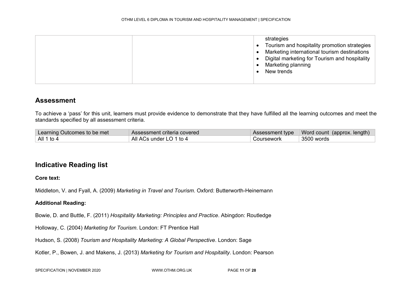To achieve a 'pass' for this unit, learners must provide evidence to demonstrate that they have fulfilled all the learning outcomes and meet the standards specified by all assessment criteria.

| Learning Outcomes to be met | Assessment criteria covered |            | Assessment type   Word count (approx. length) |
|-----------------------------|-----------------------------|------------|-----------------------------------------------|
| All 1 to 4                  | All ACs under LO 1 to 4     | Coursework | $^\shortparallel$ 3500 words                  |

### **Indicative Reading list**

#### **Core text:**

Middleton, V. and Fyall, A. (2009) *Marketing in Travel and Tourism*. Oxford: Butterworth-Heinemann

#### **Additional Reading:**

Bowie, D. and Buttle, F. (2011) *Hospitality Marketing: Principles and Practice*. Abingdon: Routledge

Holloway, C. (2004) *Marketing for Tourism*. London: FT Prentice Hall

Hudson, S. (2008) *Tourism and Hospitality Marketing: A Global Perspective*. London: Sage

Kotler, P., Bowen, J. and Makens, J. (2013) *Marketing for Tourism and Hospitality*. London: Pearson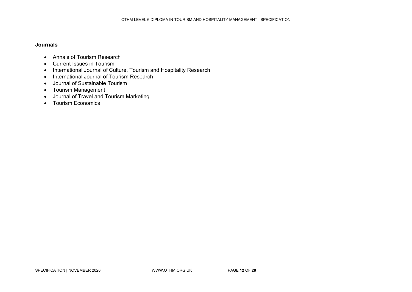- Annals of Tourism Research
- Current Issues in Tourism
- International Journal of Culture, Tourism and Hospitality Research
- International Journal of Tourism Research
- Journal of Sustainable Tourism
- Tourism Management
- Journal of Travel and Tourism Marketing
- Tourism Economics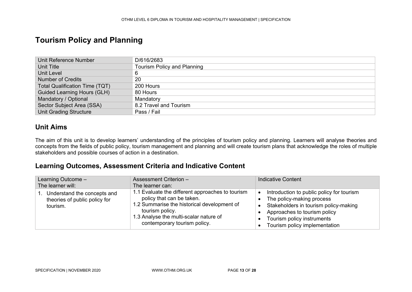### **Tourism Policy and Planning**

| Unit Reference Number                 | D/616/2683                         |
|---------------------------------------|------------------------------------|
| Unit Title                            | <b>Tourism Policy and Planning</b> |
| <b>Unit Level</b>                     | 6                                  |
| <b>Number of Credits</b>              | 20                                 |
| <b>Total Qualification Time (TQT)</b> | 200 Hours                          |
| <b>Guided Learning Hours (GLH)</b>    | 80 Hours                           |
| Mandatory / Optional                  | Mandatory                          |
| Sector Subject Area (SSA)             | 8.2 Travel and Tourism             |
| <b>Unit Grading Structure</b>         | Pass / Fail                        |

#### **Unit Aims**

<span id="page-12-0"></span>The aim of this unit is to develop learners' understanding of the principles of tourism policy and planning. Learners will analyse theories and concepts from the fields of public policy, tourism management and planning and will create tourism plans that acknowledge the roles of multiple stakeholders and possible courses of action in a destination.

| Learning Outcome -<br>The learner will:                                  | Assessment Criterion -<br>The learner can:                                                                                                                                                                                | <b>Indicative Content</b>                                                                                                                                                                                                                |
|--------------------------------------------------------------------------|---------------------------------------------------------------------------------------------------------------------------------------------------------------------------------------------------------------------------|------------------------------------------------------------------------------------------------------------------------------------------------------------------------------------------------------------------------------------------|
| Understand the concepts and<br>theories of public policy for<br>tourism. | 1.1 Evaluate the different approaches to tourism<br>policy that can be taken.<br>1.2 Summarise the historical development of<br>tourism policy.<br>1.3 Analyse the multi-scalar nature of<br>contemporary tourism policy. | Introduction to public policy for tourism<br>$\bullet$<br>The policy-making process<br>Stakeholders in tourism policy-making<br>$\bullet$<br>Approaches to tourism policy<br>Tourism policy instruments<br>Tourism policy implementation |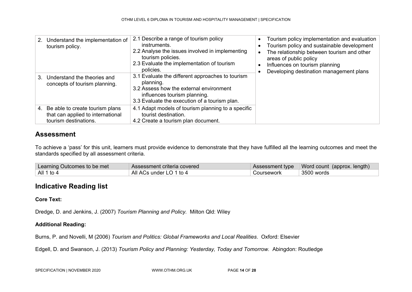| 2. | Understand the implementation of<br>tourism policy.                                              | 2.1 Describe a range of tourism policy<br>instruments.<br>2.2 Analyse the issues involved in implementing<br>tourism policies.<br>2.3 Evaluate the implementation of tourism<br>policies. | Tourism policy implementation and evaluation<br>Tourism policy and sustainable development<br>The relationship between tourism and other<br>areas of public policy<br>Influences on tourism planning<br>Developing destination management plans |
|----|--------------------------------------------------------------------------------------------------|-------------------------------------------------------------------------------------------------------------------------------------------------------------------------------------------|-------------------------------------------------------------------------------------------------------------------------------------------------------------------------------------------------------------------------------------------------|
| 3. | Understand the theories and<br>concepts of tourism planning.                                     | 3.1 Evaluate the different approaches to tourism<br>planning.<br>3.2 Assess how the external environment<br>influences tourism planning.<br>3.3 Evaluate the execution of a tourism plan. |                                                                                                                                                                                                                                                 |
|    | 4. Be able to create tourism plans<br>that can applied to international<br>tourism destinations. | 4.1 Adapt models of tourism planning to a specific<br>tourist destination.<br>4.2 Create a tourism plan document.                                                                         |                                                                                                                                                                                                                                                 |

To achieve a 'pass' for this unit, learners must provide evidence to demonstrate that they have fulfilled all the learning outcomes and meet the standards specified by all assessment criteria.

| Learning Outcomes to be met | Assessment criteria covered |            | Assessment type   Word count (approx. length) |
|-----------------------------|-----------------------------|------------|-----------------------------------------------|
| All 1 to 4                  | All ACs under LO 1 to 4     | Coursework | 3500 words                                    |

### **Indicative Reading list**

#### **Core Text:**

Dredge, D. and Jenkins, J. (2007) *Tourism Planning and Policy.* Milton Qld: Wiley

#### **Additional Reading:**

Burns, P. and Novelli, M (2006) *Tourism and Politics: Global Frameworks and Local Realities*. Oxford: Elsevier

Edgell, D. and Swanson, J. (2013) *Tourism Policy and Planning: Yesterday, Today and Tomorrow.* Abingdon: Routledge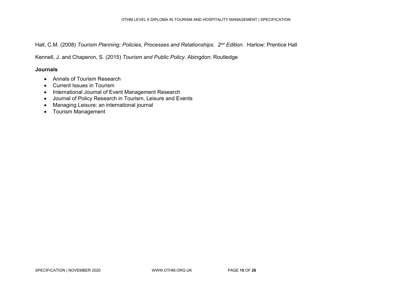Hall, C.M. (2008) *Tourism Planning: Policies, Processes and Relationships. 2nd Edition.* Harlow: Prentice Hall

Kennell, J. and Chaperon, S. (2015) *Tourism and Public Policy*. Abingdon: Routledge

- [Annals of Tourism Research](http://web.ebscohost.com/ehost/detail?vid=4&hid=109&sid=8bd2decf-7fc9-48ac-bd9e-99b81bf0dc9d%40sessionmgr113&bdata=JnNpdGU9ZWhvc3QtbGl2ZQ%3d%3d#db=hjh&jid=J8T)
- [Current Issues in Tourism](http://web.ebscohost.com/ehost/detail?vid=1&hid=109&sid=c14b0108-ea7f-4841-a1c5-f0b8c46f388e%40sessionmgr112&bdata=JnNpdGU9ZWhvc3QtbGl2ZQ%3d%3d#db=hjh&jid=N92)
- [International Journal of Event Management Research](http://www.ijemr.org/)
- Journal of Policy Research [in Tourism, Leisure and Events](http://www.tandfonline.com/toc/rprt20/current)
- [Managing Leisure: an international journal](http://www.tandfonline.com/toc/rmle20/current)
- [Tourism Management](http://www.sciencedirect.com/science/journal/02615177)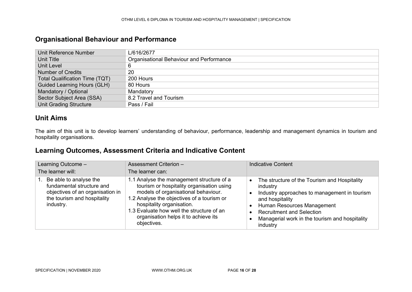### **Organisational Behaviour and Performance**

| Unit Reference Number                 | L/616/2677                               |
|---------------------------------------|------------------------------------------|
| <b>Unit Title</b>                     | Organisational Behaviour and Performance |
| Unit Level                            |                                          |
| Number of Credits                     | 20                                       |
| <b>Total Qualification Time (TQT)</b> | 200 Hours                                |
| <b>Guided Learning Hours (GLH)</b>    | 80 Hours                                 |
| Mandatory / Optional                  | Mandatory                                |
| Sector Subject Area (SSA)             | 8.2 Travel and Tourism                   |
| <b>Unit Grading Structure</b>         | Pass / Fail                              |

### **Unit Aims**

The aim of this unit is to develop learners' understanding of behaviour, performance, leadership and management dynamics in tourism and hospitality organisations.

<span id="page-15-0"></span>

| Learning Outcome -                                                                                                                     | <b>Assessment Criterion -</b>                                                                                                                                                                                                                                                                                | <b>Indicative Content</b>                                                                                                                                                                                                                                                |  |
|----------------------------------------------------------------------------------------------------------------------------------------|--------------------------------------------------------------------------------------------------------------------------------------------------------------------------------------------------------------------------------------------------------------------------------------------------------------|--------------------------------------------------------------------------------------------------------------------------------------------------------------------------------------------------------------------------------------------------------------------------|--|
| The learner will:                                                                                                                      | The learner can:                                                                                                                                                                                                                                                                                             |                                                                                                                                                                                                                                                                          |  |
| 1. Be able to analyse the<br>fundamental structure and<br>objectives of an organisation in<br>the tourism and hospitality<br>industry. | 1.1 Analyse the management structure of a<br>tourism or hospitality organisation using<br>models of organisational behaviour.<br>1.2 Analyse the objectives of a tourism or<br>hospitality organisation.<br>1.3 Evaluate how well the structure of an<br>organisation helps it to achieve its<br>objectives. | The structure of the Tourism and Hospitality<br>$\bullet$<br>industry<br>Industry approaches to management in tourism<br>and hospitality<br>Human Resources Management<br><b>Recruitment and Selection</b><br>Managerial work in the tourism and hospitality<br>industry |  |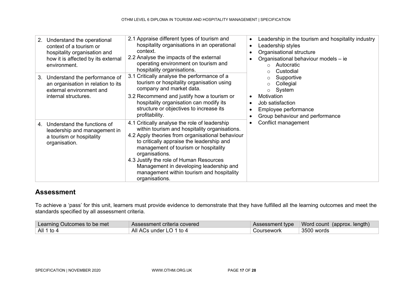| 2. | Understand the operational<br>context of a tourism or<br>hospitality organisation and<br>how it is affected by its external<br>environment. | 2.1 Appraise different types of tourism and<br>hospitality organisations in an operational<br>context.<br>2.2 Analyse the impacts of the external<br>operating environment on tourism and<br>hospitality organisations.                                                                                                                                                                                        | $\bullet$<br>$\bullet$<br>$\bullet$              | Leadership in the tourism and hospitality industry<br>Leadership styles<br>Organisational structure<br>Organisational behaviour models - ie<br>Autocratic<br>Custodial |
|----|---------------------------------------------------------------------------------------------------------------------------------------------|----------------------------------------------------------------------------------------------------------------------------------------------------------------------------------------------------------------------------------------------------------------------------------------------------------------------------------------------------------------------------------------------------------------|--------------------------------------------------|------------------------------------------------------------------------------------------------------------------------------------------------------------------------|
| 3. | Understand the performance of<br>an organisation in relation to its<br>external environment and<br>internal structures.                     | 3.1 Critically analyse the performance of a<br>tourism or hospitality organisation using<br>company and market data.<br>3.2 Recommend and justify how a tourism or<br>hospitality organisation can modify its<br>structure or objectives to increase its<br>profitability.                                                                                                                                     | $\bullet$<br>$\bullet$<br>$\bullet$<br>$\bullet$ | Supportive<br>Collegial<br>System<br>$\circ$<br>Motivation<br>Job satisfaction<br>Employee performance<br>Group behaviour and performance                              |
| 4. | Understand the functions of<br>leadership and management in<br>a tourism or hospitality<br>organisation.                                    | 4.1 Critically analyse the role of leadership<br>within tourism and hospitality organisations.<br>4.2 Apply theories from organisational behaviour<br>to critically appraise the leadership and<br>management of tourism or hospitality<br>organisations.<br>4.3 Justify the role of Human Resources<br>Management in developing leadership and<br>management within tourism and hospitality<br>organisations. | $\bullet$                                        | Conflict management                                                                                                                                                    |

To achieve a 'pass' for this unit, learners must provide evidence to demonstrate that they have fulfilled all the learning outcomes and meet the standards specified by all assessment criteria.

| Learning Outcomes to be met | Assessment criteria covered |            | Assessment type   Word count (approx. length) |
|-----------------------------|-----------------------------|------------|-----------------------------------------------|
| All 1 to 4                  | All ACs under LO 1 to 4     | Coursework | 3500 words                                    |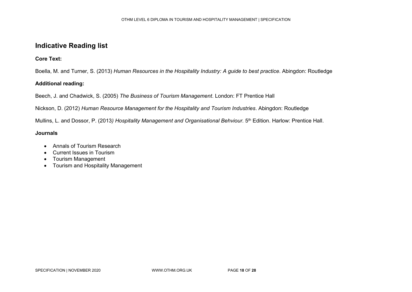#### **Indicative Reading list**

**Core Text:** 

Boella, M. and Turner, S. (2013) *Human Resources in the Hospitality Industry: A guide to best practice*. Abingdon: Routledge

#### **Additional reading:**

Beech, J. and Chadwick, S. (2005) *The Business of Tourism Management*. London: FT Prentice Hall

Nickson, D. (2012) *Human Resource Management for the Hospitality and Tourism Industries*. Abingdon: Routledge

Mullins, L. and Dossor, P. (2013) *Hospitality Management and Organisational Behviour.* 5<sup>th</sup> Edition. Harlow: Prentice Hall.

- Annals of Tourism Research
- Current Issues in Tourism
- Tourism Management
- Tourism and Hospitality Management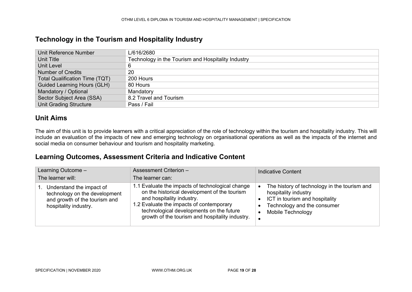#### **Technology in the Tourism and Hospitality Industry**

| Unit Reference Number                 | L/616/2680                                         |
|---------------------------------------|----------------------------------------------------|
| Unit Title                            | Technology in the Tourism and Hospitality Industry |
| Unit Level                            | 6                                                  |
| <b>Number of Credits</b>              | 20                                                 |
| <b>Total Qualification Time (TQT)</b> | 200 Hours                                          |
| <b>Guided Learning Hours (GLH)</b>    | 80 Hours                                           |
| Mandatory / Optional                  | Mandatory                                          |
| Sector Subject Area (SSA)             | 8.2 Travel and Tourism                             |
| <b>Unit Grading Structure</b>         | Pass / Fail                                        |

#### **Unit Aims**

The aim of this unit is to provide learners with a critical appreciation of the role of technology within the tourism and hospitality industry. This will include an evaluation of the impacts of new and emerging technology on organisational operations as well as the impacts of the internet and social media on consumer behaviour and tourism and hospitality marketing.

<span id="page-18-0"></span>

| Learning Outcome -<br>The learner will:                                                                             | Assessment Criterion -<br>The learner can:                                                                                                                                                                                                                               | <b>Indicative Content</b>                                                                                                                                  |
|---------------------------------------------------------------------------------------------------------------------|--------------------------------------------------------------------------------------------------------------------------------------------------------------------------------------------------------------------------------------------------------------------------|------------------------------------------------------------------------------------------------------------------------------------------------------------|
| Understand the impact of<br>technology on the development<br>and growth of the tourism and<br>hospitality industry. | 1.1 Evaluate the impacts of technological change<br>on the historical development of the tourism<br>and hospitality industry.<br>1.2 Evaluate the impacts of contemporary<br>technological developments on the future<br>growth of the tourism and hospitality industry. | The history of technology in the tourism and<br>hospitality industry<br>ICT in tourism and hospitality<br>Technology and the consumer<br>Mobile Technology |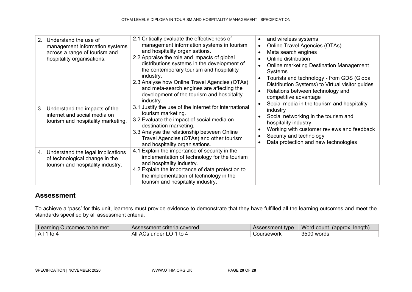| Understand the use of<br>2 <sub>1</sub><br>management information systems<br>across a range of tourism and<br>hospitality organisations. | 2.1 Critically evaluate the effectiveness of<br>management information systems in tourism<br>and hospitality organisations.<br>2.2 Appraise the role and impacts of global<br>distributions systems in the development of<br>the contemporary tourism and hospitality<br>industry.<br>2.3 Analyse how Online Travel Agencies (OTAs)<br>and meta-search engines are affecting the<br>development of the tourism and hospitality<br>industry. | and wireless systems<br>Online Travel Agencies (OTAs)<br>$\bullet$<br>Meta search engines<br>Online distribution<br><b>Online marketing Destination Management</b><br>Systems<br>Tourists and technology - from GDS (Global<br>Distribution Systems) to Virtual visitor guides<br>Relations between technology and<br>competitive advantage<br>Social media in the tourism and hospitality |
|------------------------------------------------------------------------------------------------------------------------------------------|---------------------------------------------------------------------------------------------------------------------------------------------------------------------------------------------------------------------------------------------------------------------------------------------------------------------------------------------------------------------------------------------------------------------------------------------|--------------------------------------------------------------------------------------------------------------------------------------------------------------------------------------------------------------------------------------------------------------------------------------------------------------------------------------------------------------------------------------------|
| 3. Understand the impacts of the<br>internet and social media on<br>tourism and hospitality marketing.                                   | 3.1 Justify the use of the internet for international<br>tourism marketing.<br>3.2 Evaluate the impact of social media on<br>destination marketing.<br>3.3 Analyse the relationship between Online<br>Travel Agencies (OTAs) and other tourism<br>and hospitality organisations.                                                                                                                                                            | industry<br>Social networking in the tourism and<br>hospitality industry<br>Working with customer reviews and feedback<br>Security and technology<br>Data protection and new technologies                                                                                                                                                                                                  |
| Understand the legal implications<br>4.<br>of technological change in the<br>tourism and hospitality industry.                           | 4.1 Explain the importance of security in the<br>implementation of technology for the tourism<br>and hospitality industry.<br>4.2 Explain the importance of data protection to<br>the implementation of technology in the<br>tourism and hospitality industry.                                                                                                                                                                              |                                                                                                                                                                                                                                                                                                                                                                                            |

To achieve a 'pass' for this unit, learners must provide evidence to demonstrate that they have fulfilled all the learning outcomes and meet the standards specified by all assessment criteria.

| Learning Outcomes to be met | Assessment criteria covered |            | Assessment type   Word count (approx. length) |
|-----------------------------|-----------------------------|------------|-----------------------------------------------|
| All 1 to 4                  | All ACs under LO 1 to 4     | Coursework | 3500 words                                    |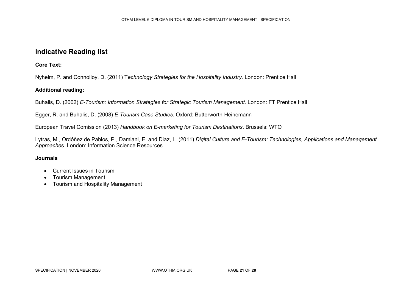#### **Indicative Reading list**

**Core Text:** 

Nyheim, P. and Connolloy, D. (2011) T*echnology Strategies for the Hospitality Industry.* London: Prentice Hall

#### **Additional reading:**

Buhalis, D. (2002) *E-Tourism: Information Strategies for Strategic Tourism Management*. London: FT Prentice Hall

Egger, R. and Buhalis, D. (2008) *E-Tourism Case Studies*. Oxford: Butterworth-Heinemann

European Travel Comission (2013) *Handbook on E-marketing for Tourism Destinations*. Brussels: WTO

Lytras, M., Ordóñez de Pablos, P., Damiani, E. and Diaz, L. (2011) *Digital Culture and E-Tourism: Technologies, Applications and Management Approache*s. London: Information Science Resources

- Current Issues in Tourism
- Tourism Management
- Tourism and Hospitality Management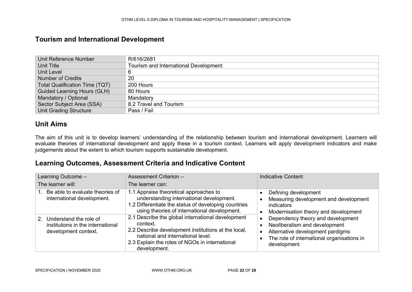#### **Tourism and International Development**

| Unit Reference Number                 | R/616/2681                            |
|---------------------------------------|---------------------------------------|
| Unit Title                            | Tourism and International Development |
| Unit Level                            | 6                                     |
| <b>Number of Credits</b>              | 20                                    |
| <b>Total Qualification Time (TQT)</b> | 200 Hours                             |
| <b>Guided Learning Hours (GLH)</b>    | 80 Hours                              |
| Mandatory / Optional                  | Mandatory                             |
| Sector Subject Area (SSA)             | 8.2 Travel and Tourism                |
| <b>Unit Grading Structure</b>         | Pass / Fail                           |

#### **Unit Aims**

The aim of this unit is to develop learners' understanding of the relationship between tourism and international development. Learners will evaluate theories of international development and apply these in a tourism context. Learners will apply development indicators and make judgements about the extent to which tourism supports sustainable development.

<span id="page-21-0"></span>

| Learning Outcome -                                                                     | Assessment Criterion -                                                                                                                                                                                                      | <b>Indicative Content</b>                                                                                                                                           |  |
|----------------------------------------------------------------------------------------|-----------------------------------------------------------------------------------------------------------------------------------------------------------------------------------------------------------------------------|---------------------------------------------------------------------------------------------------------------------------------------------------------------------|--|
| The learner will:                                                                      | The learner can:                                                                                                                                                                                                            |                                                                                                                                                                     |  |
| 1. Be able to evaluate theories of<br>international development.                       | 1.1 Appraise theoretical approaches to<br>understanding international development.<br>1.2 Differentiate the status of developing countries<br>using theories of international development.                                  | Defining development<br>Measuring development and development<br>indicators<br>Modernisation theory and development                                                 |  |
| 2. Understand the role of<br>institutions in the international<br>development context. | 2.1 Describe the global international development<br>context.<br>2.2 Describe development institutions at the local,<br>national and international level.<br>2.3 Explain the roles of NGOs in international<br>development. | Dependency theory and development<br>Neoliberalism and development<br>Alternative development pardigms<br>The role of international organisations in<br>development |  |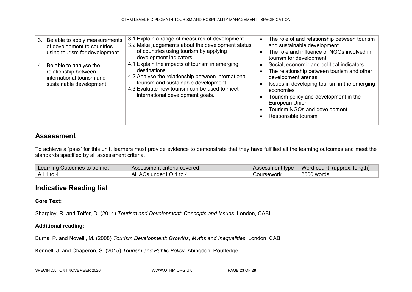| Be able to apply measurements<br>3.<br>of development to countries<br>using tourism for development.          | 3.1 Explain a range of measures of development.<br>3.2 Make judgements about the development status<br>of countries using tourism by applying<br>development indicators.                                                                          | The role of and relationship between tourism<br>and sustainable development<br>The role and influence of NGOs involved in<br>tourism for development                                                                                                                                         |
|---------------------------------------------------------------------------------------------------------------|---------------------------------------------------------------------------------------------------------------------------------------------------------------------------------------------------------------------------------------------------|----------------------------------------------------------------------------------------------------------------------------------------------------------------------------------------------------------------------------------------------------------------------------------------------|
| Be able to analyse the<br>4.<br>relationship between<br>international tourism and<br>sustainable development. | 4.1 Explain the impacts of tourism in emerging<br>destinations.<br>4.2 Analyse the relationship between international<br>tourism and sustainable development.<br>4.3 Evaluate how tourism can be used to meet<br>international development goals. | Social, economic and political indicators<br>The relationship between tourism and other<br>development arenas<br>Issues in developing tourism in the emerging<br>economies<br>Tourism policy and development in the<br>European Union<br>Tourism NGOs and development<br>Responsible tourism |

To achieve a 'pass' for this unit, learners must provide evidence to demonstrate that they have fulfilled all the learning outcomes and meet the standards specified by all assessment criteria.

| Learning Outcomes to be met | Assessment criteria covered |            | Assessment type   Word count (approx. length) |
|-----------------------------|-----------------------------|------------|-----------------------------------------------|
| All 1 to 4                  | All ACs under LO 1 to 4     | Coursework | $\overline{\phantom{1}}$ 3500 words           |

### **Indicative Reading list**

#### **Core Text:**

Sharpley, R. and Telfer, D. (2014) *Tourism and Development: Concepts and Issues*. London, CABI

#### **Additional reading:**

Burns, P. and Novelli, M. (2008) *Tourism Development: Growths, Myths and Inequalities.* London: CABI

Kennell, J. and Chaperon, S. (2015) *Tourism and Public Policy.* Abingdon: Routledge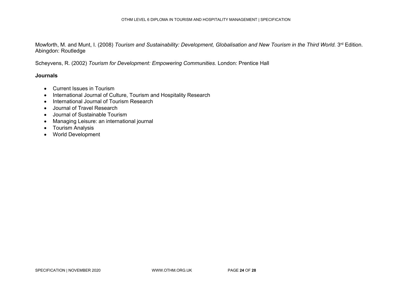Mowforth, M. and Munt, I. (2008) *Tourism and Sustainability: Development, Globalisation and New Tourism in the Third World. 3<sup>rd</sup> Edition.* Abingdon: Routledge

Scheyvens, R. (2002) *Tourism for Development: Empowering Communities.* London: Prentice Hall

- Current Issues in Tourism
- International Journal of Culture, Tourism and Hospitality Research
- International Journal of Tourism Research
- Journal of Travel Research
- Journal of Sustainable Tourism
- Managing Leisure: an international journal
- Tourism Analysis
- World Development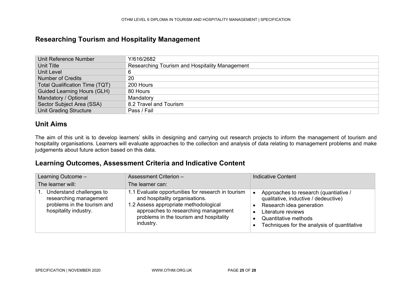#### **Researching Tourism and Hospitality Management**

| Unit Reference Number                 | Y/616/2682                                     |
|---------------------------------------|------------------------------------------------|
| Unit Title                            | Researching Tourism and Hospitality Management |
| Unit Level                            | 6                                              |
| <b>Number of Credits</b>              | 20                                             |
| <b>Total Qualification Time (TQT)</b> | 200 Hours                                      |
| <b>Guided Learning Hours (GLH)</b>    | 80 Hours                                       |
| Mandatory / Optional                  | Mandatory                                      |
| Sector Subject Area (SSA)             | 8.2 Travel and Tourism                         |
| <b>Unit Grading Structure</b>         | Pass / Fail                                    |

#### **Unit Aims**

The aim of this unit is to develop learners' skills in designing and carrying out research projects to inform the management of tourism and hospitality organisations. Learners will evaluate approaches to the collection and analysis of data relating to management problems and make judgements about future action based on this data.

<span id="page-24-0"></span>

| Learning Outcome -                                                                                         | Assessment Criterion -                                                                                                                                                                                                        | <b>Indicative Content</b>                                                                                                                                                                              |  |
|------------------------------------------------------------------------------------------------------------|-------------------------------------------------------------------------------------------------------------------------------------------------------------------------------------------------------------------------------|--------------------------------------------------------------------------------------------------------------------------------------------------------------------------------------------------------|--|
| The learner will:                                                                                          | The learner can:                                                                                                                                                                                                              |                                                                                                                                                                                                        |  |
| Understand challenges to<br>researching management<br>problems in the tourism and<br>hospitality industry. | 1.1 Evaluate opportunities for research in tourism<br>and hospitality organisations.<br>1.2 Assess appropriate methodological<br>approaches to researching management<br>problems in the tourism and hospitality<br>industry. | Approaches to research (quantiative /<br>qualitative, inductive / dedeuctive)<br>Research idea generation<br>Literature reviews<br>Quantitative methods<br>Techniques for the analysis of quantitative |  |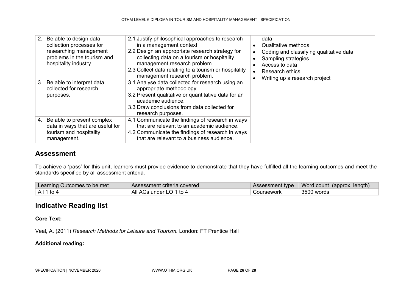|    | 2. Be able to design data<br>collection processes for<br>researching management<br>problems in the tourism and<br>hospitality industry. | 2.1 Justify philosophical approaches to research<br>in a management context.<br>2.2 Design an appropriate research strategy for<br>collecting data on a tourism or hospitality<br>management research problem.<br>2.3 Collect data relating to a tourism or hospitality<br>management research problem. | $\bullet$<br>$\bullet$ | data<br>Qualitative methods<br>Coding and classifying qualitative data<br>Sampling strategies<br>Access to data<br><b>Research ethics</b><br>Writing up a research project |
|----|-----------------------------------------------------------------------------------------------------------------------------------------|---------------------------------------------------------------------------------------------------------------------------------------------------------------------------------------------------------------------------------------------------------------------------------------------------------|------------------------|----------------------------------------------------------------------------------------------------------------------------------------------------------------------------|
| 3. | Be able to interpret data<br>collected for research<br>purposes.                                                                        | 3.1 Analyse data collected for research using an<br>appropriate methodology.<br>3.2 Present qualitative or quantitative data for an<br>academic audience.<br>3.3 Draw conclusions from data collected for<br>research purposes.                                                                         |                        |                                                                                                                                                                            |
|    | 4. Be able to present complex<br>data in ways that are useful for<br>tourism and hospitality<br>management.                             | 4.1 Communicate the findings of research in ways<br>that are relevant to an academic audience.<br>4.2 Communicate the findings of research in ways<br>that are relevant to a business audience.                                                                                                         |                        |                                                                                                                                                                            |

To achieve a 'pass' for this unit, learners must provide evidence to demonstrate that they have fulfilled all the learning outcomes and meet the standards specified by all assessment criteria.

| Learning Outcomes to be met | Assessment criteria covered |            | Assessment type   Word count (approx. length) |
|-----------------------------|-----------------------------|------------|-----------------------------------------------|
| All 1 to 4                  | All ACs under LO 1 to 4     | Coursework | 3500 words                                    |

### **Indicative Reading list**

**Core Text:**

Veal, A. (2011) *Research Methods for Leisure and Tourism.* London: FT Prentice Hall

**Additional reading:**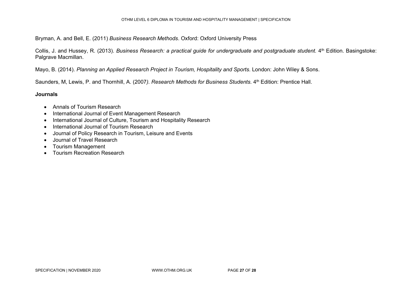Bryman, A. and Bell, E. (2011) *Business Research Methods*. Oxford: Oxford University Press

Collis, J. and Hussey, R. (2013). *Business Research: a practical quide for undergraduate and postgraduate student*. 4th Edition. Basingstoke: Palgrave Macmillan.

Mayo, B. (2014). *Planning an Applied Research Project in Tourism, Hospitality and Sports*. London: John Wiley & Sons.

Saunders, M, Lewis, P. and Thornhill, A. (2007). Research Methods for Business Students. 4<sup>th</sup> Edition: Prentice Hall.

- Annals of Tourism Research
- International Journal of Event Management Research
- International Journal of Culture, Tourism and Hospitality Research
- International Journal of Tourism Research
- Journal of Policy Research in Tourism, Leisure and Events
- Journal of Travel Research
- Tourism Management
- Tourism Recreation Research